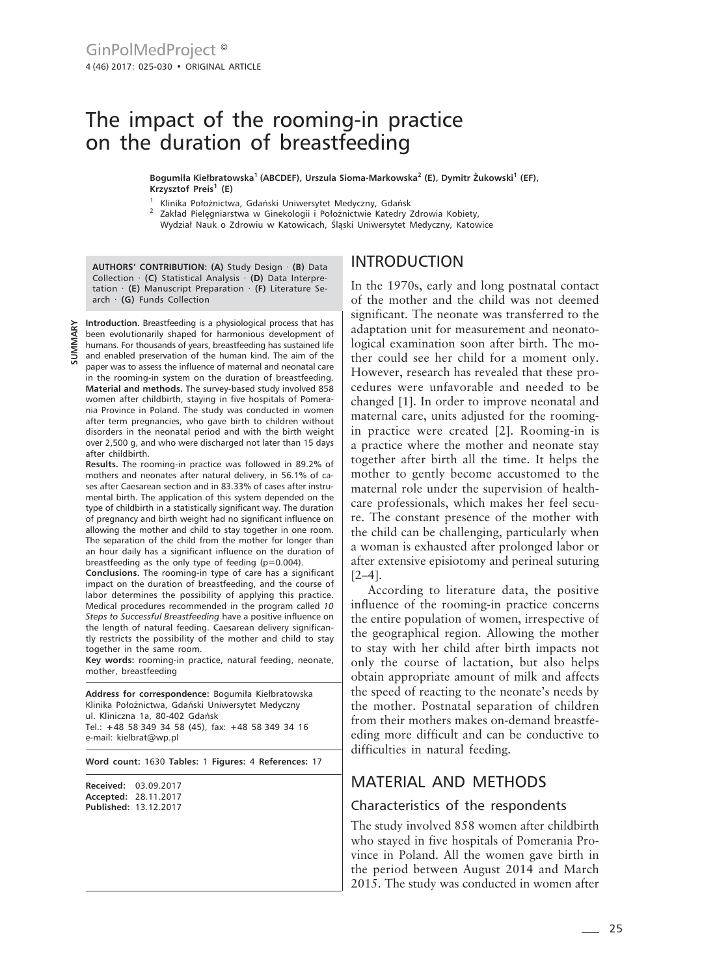# The impact of the rooming-in practice on the duration of breastfeeding

**Bogumiła Kiełbratowska1 (ABCDEF), Urszula Sioma-Markowska2 (E), Dymitr Żukowski<sup>1</sup> (EF), Krzysztof Preis<sup>1</sup> (E)**

Klinika Położnictwa, Gdański Uniwersytet Medyczny, Gdańsk

<sup>2</sup> Zakład Pielęgniarstwa w Ginekologii i Położnictwie Katedry Zdrowia Kobiety, Wydział Nauk o Zdrowiu w Katowicach, Śląski Uniwersytet Medyczny, Katowice

**AUTHORS' CONTRIBUTION: (A)** Study Design · **(B)** Data Collection · **(C)** Statistical Analysis · **(D)** Data Interpretation · **(E)** Manuscript Preparation · **(F)** Literature Search · **(G)** Funds Collection

**Introduction.** Breastfeeding is a physiological process that has been evolutionarily shaped for harmonious development of humans. For thousands of years, breastfeeding has sustained life and enabled preservation of the human kind. The aim of the paper was to assess the influence of maternal and neonatal care in the rooming-in system on the duration of breastfeeding. **Material and methods.** The survey-based study involved 858 women after childbirth, staying in five hospitals of Pomerania Province in Poland. The study was conducted in women after term pregnancies, who gave birth to children without disorders in the neonatal period and with the birth weight over 2,500 g, and who were discharged not later than 15 days after childbirth.

**Results.** The rooming-in practice was followed in 89.2% of mothers and neonates after natural delivery, in 56.1% of cases after Caesarean section and in 83.33% of cases after instrumental birth. The application of this system depended on the type of childbirth in a statistically significant way. The duration of pregnancy and birth weight had no significant influence on allowing the mother and child to stay together in one room. The separation of the child from the mother for longer than an hour daily has a significant influence on the duration of breastfeeding as the only type of feeding (p=0.004).

**Conclusions.** The rooming-in type of care has a significant impact on the duration of breastfeeding, and the course of labor determines the possibility of applying this practice. Medical procedures recommended in the program called *10 Steps to Successful Breastfeeding* have a positive influence on the length of natural feeding. Caesarean delivery significantly restricts the possibility of the mother and child to stay together in the same room.

**Key words:** rooming-in practice, natural feeding, neonate, mother, breastfeeding

**Address for correspondence:** Bogumiła Kiełbratowska Klinika Położnictwa, Gdański Uniwersytet Medyczny ul. Kliniczna 1a, 80-402 Gdańsk Tel.: **+**48 58 349 34 58 (45), fax: **+**48 58 349 34 16 e-mail: kielbrat@wp.pl

**Word count:** 1630 **Tables:** 1 **Figures:** 4 **References:** 17

**Received:** 03.09.2017 **Accepted:** 28.11.2017 **Published:** 13.12.2017

#### INTRODUCTION

In the 1970s, early and long postnatal contact of the mother and the child was not deemed significant. The neonate was transferred to the adaptation unit for measurement and neonatological examination soon after birth. The mother could see her child for a moment only. However, research has revealed that these procedures were unfavorable and needed to be changed [1]. In order to improve neonatal and maternal care, units adjusted for the roomingin practice were created [2]. Rooming-in is a practice where the mother and neonate stay together after birth all the time. It helps the mother to gently become accustomed to the maternal role under the supervision of healthcare professionals, which makes her feel secure. The constant presence of the mother with the child can be challenging, particularly when a woman is exhausted after prolonged labor or after extensive episiotomy and perineal suturing [2–4].

According to literature data, the positive influence of the rooming-in practice concerns the entire population of women, irrespective of the geographical region. Allowing the mother to stay with her child after birth impacts not only the course of lactation, but also helps obtain appropriate amount of milk and affects the speed of reacting to the neonate's needs by the mother. Postnatal separation of children from their mothers makes on-demand breastfeeding more difficult and can be conductive to difficulties in natural feeding.

## MATERIAL AND METHODS

#### Characteristics of the respondents

The study involved 858 women after childbirth who stayed in five hospitals of Pomerania Province in Poland. All the women gave birth in the period between August 2014 and March 2015. The study was conducted in women after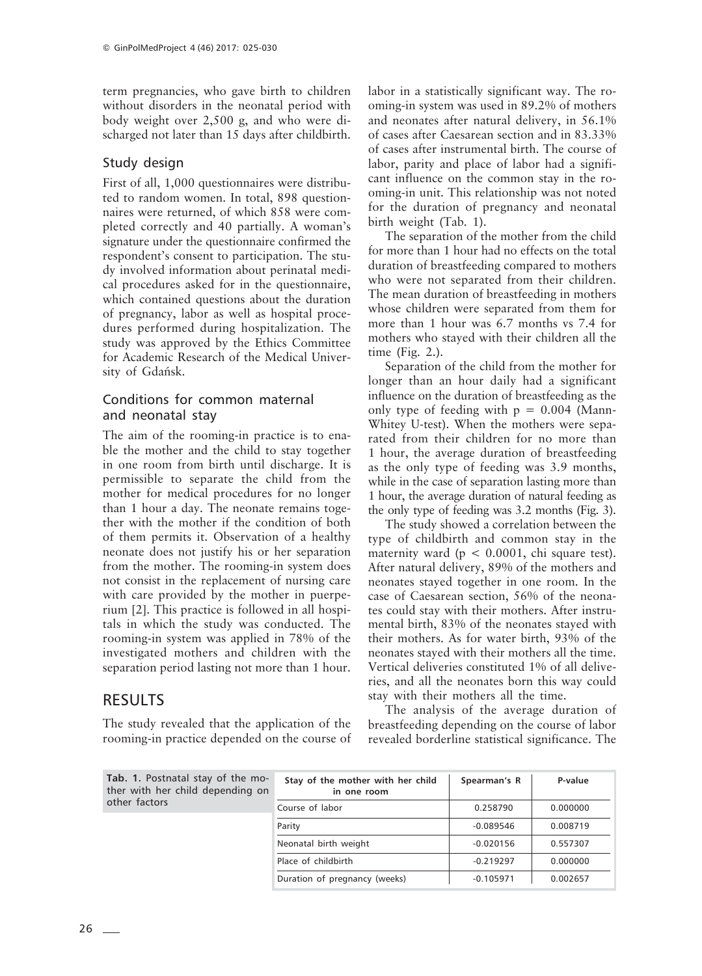term pregnancies, who gave birth to children without disorders in the neonatal period with body weight over 2,500 g, and who were discharged not later than 15 days after childbirth.

#### Study design

First of all, 1,000 questionnaires were distributed to random women. In total, 898 questionnaires were returned, of which 858 were completed correctly and 40 partially. A woman's signature under the questionnaire confirmed the respondent's consent to participation. The study involved information about perinatal medical procedures asked for in the questionnaire, which contained questions about the duration of pregnancy, labor as well as hospital procedures performed during hospitalization. The study was approved by the Ethics Committee for Academic Research of the Medical University of Gdańsk.

### Conditions for common maternal and neonatal stay

The aim of the rooming-in practice is to enable the mother and the child to stay together in one room from birth until discharge. It is permissible to separate the child from the mother for medical procedures for no longer than 1 hour a day. The neonate remains together with the mother if the condition of both of them permits it. Observation of a healthy neonate does not justify his or her separation from the mother. The rooming-in system does not consist in the replacement of nursing care with care provided by the mother in puerperium [2]. This practice is followed in all hospitals in which the study was conducted. The rooming-in system was applied in 78% of the investigated mothers and children with the separation period lasting not more than 1 hour.

## RESULTS

The study revealed that the application of the rooming-in practice depended on the course of labor in a statistically significant way. The rooming-in system was used in 89.2% of mothers and neonates after natural delivery, in 56.1% of cases after Caesarean section and in 83.33% of cases after instrumental birth. The course of labor, parity and place of labor had a significant influence on the common stay in the rooming-in unit. This relationship was not noted for the duration of pregnancy and neonatal birth weight (Tab. 1).

The separation of the mother from the child for more than 1 hour had no effects on the total duration of breastfeeding compared to mothers who were not separated from their children. The mean duration of breastfeeding in mothers whose children were separated from them for more than 1 hour was 6.7 months vs 7.4 for mothers who stayed with their children all the time (Fig. 2.).

Separation of the child from the mother for longer than an hour daily had a significant influence on the duration of breastfeeding as the only type of feeding with  $p = 0.004$  (Mann-Whitey U*-*test). When the mothers were separated from their children for no more than 1 hour, the average duration of breastfeeding as the only type of feeding was 3.9 months, while in the case of separation lasting more than 1 hour, the average duration of natural feeding as the only type of feeding was 3.2 months (Fig. 3).

The study showed a correlation between the type of childbirth and common stay in the maternity ward ( $p < 0.0001$ , chi square test). After natural delivery, 89% of the mothers and neonates stayed together in one room. In the case of Caesarean section, 56% of the neonates could stay with their mothers. After instrumental birth, 83% of the neonates stayed with their mothers. As for water birth, 93% of the neonates stayed with their mothers all the time. Vertical deliveries constituted 1% of all deliveries, and all the neonates born this way could stay with their mothers all the time.

The analysis of the average duration of breastfeeding depending on the course of labor revealed borderline statistical significance. The

**Tab. 1.** Postnatal stay of the mother with her child depending on other factors **Stay of the mother with her child Spearman's R P-value in one room** Course of labor  $0.258790$  0.000000 Parity 20.089546 0.008719 Neonatal birth weight  $-0.020156$  0.557307 Place of childbirth -0.219297 0.000000 Duration of pregnancy (weeks) -0.105971 0.002657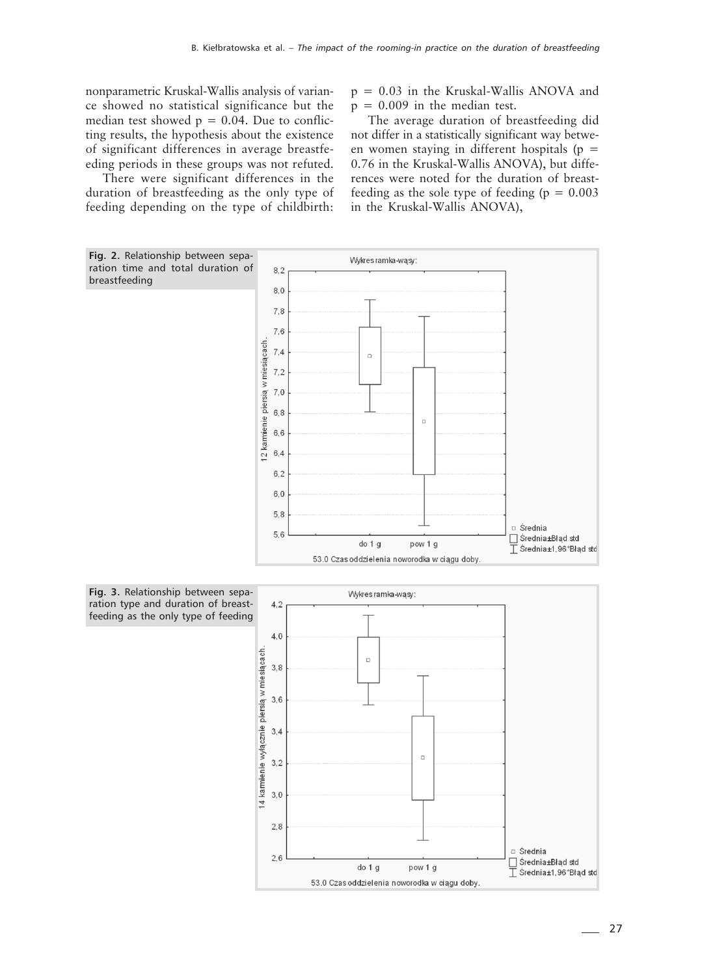nonparametric Kruskal-Wallis analysis of variance showed no statistical significance but the median test showed  $p = 0.04$ . Due to conflicting results, the hypothesis about the existence of significant differences in average breastfeeding periods in these groups was not refuted.

There were significant differences in the duration of breastfeeding as the only type of feeding depending on the type of childbirth:  $p = 0.03$  in the Kruskal-Wallis ANOVA and  $p = 0.009$  in the median test.

The average duration of breastfeeding did not differ in a statistically significant way between women staving in different hospitals ( $p =$ 0.76 in the Kruskal-Wallis ANOVA), but differences were noted for the duration of breastfeeding as the sole type of feeding  $(p = 0.003)$ in the Kruskal-Wallis ANOVA),

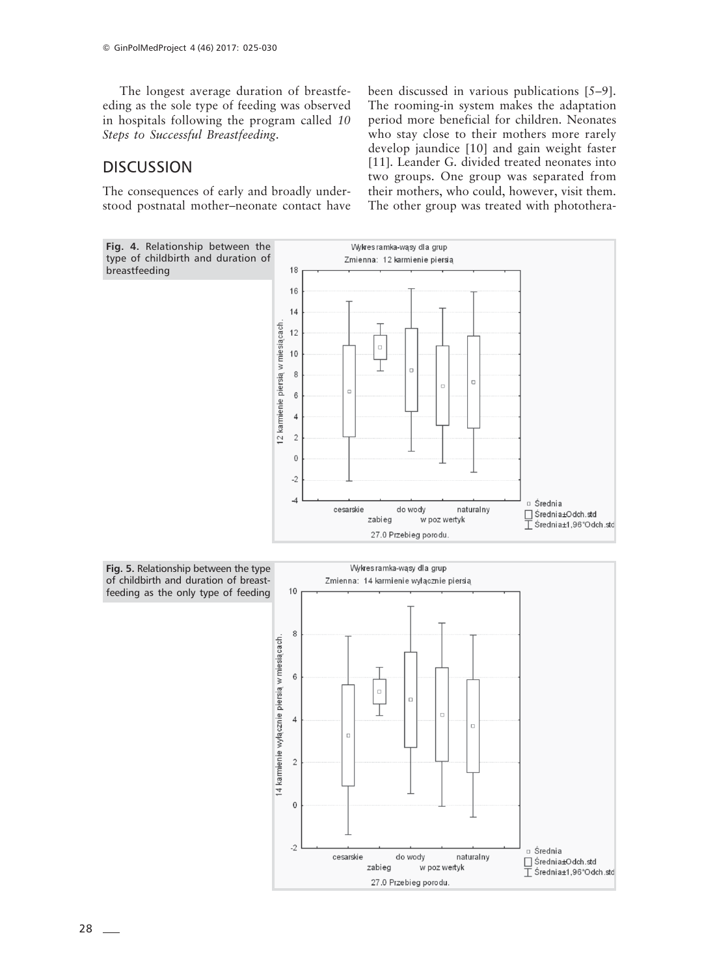The longest average duration of breastfeeding as the sole type of feeding was observed in hospitals following the program called *10 Steps to Successful Breastfeeding*.

### **DISCUSSION**

The consequences of early and broadly understood postnatal mother–neonate contact have been discussed in various publications [5–9]. The rooming-in system makes the adaptation period more beneficial for children. Neonates who stay close to their mothers more rarely develop jaundice [10] and gain weight faster [11]. Leander G. divided treated neonates into two groups. One group was separated from their mothers, who could, however, visit them. The other group was treated with photothera-

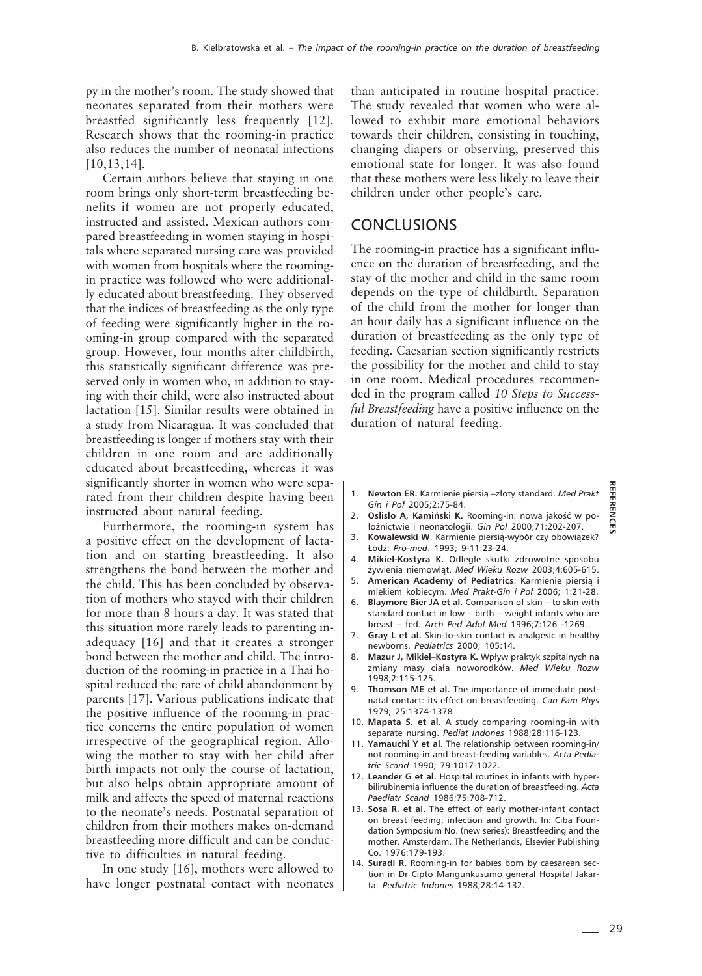py in the mother's room. The study showed that neonates separated from their mothers were breastfed significantly less frequently [12]. Research shows that the rooming-in practice also reduces the number of neonatal infections [10,13,14].

Certain authors believe that staying in one room brings only short-term breastfeeding benefits if women are not properly educated, instructed and assisted. Mexican authors compared breastfeeding in women staying in hospitals where separated nursing care was provided with women from hospitals where the roomingin practice was followed who were additionally educated about breastfeeding. They observed that the indices of breastfeeding as the only type of feeding were significantly higher in the rooming-in group compared with the separated group. However, four months after childbirth, this statistically significant difference was preserved only in women who, in addition to staying with their child, were also instructed about lactation [15]. Similar results were obtained in a study from Nicaragua. It was concluded that breastfeeding is longer if mothers stay with their children in one room and are additionally educated about breastfeeding, whereas it was significantly shorter in women who were separated from their children despite having been instructed about natural feeding.

Furthermore, the rooming-in system has a positive effect on the development of lactation and on starting breastfeeding. It also strengthens the bond between the mother and the child. This has been concluded by observation of mothers who stayed with their children for more than 8 hours a day. It was stated that this situation more rarely leads to parenting inadequacy [16] and that it creates a stronger bond between the mother and child. The introduction of the rooming-in practice in a Thai hospital reduced the rate of child abandonment by parents [17]. Various publications indicate that the positive influence of the rooming-in practice concerns the entire population of women irrespective of the geographical region. Allowing the mother to stay with her child after birth impacts not only the course of lactation, but also helps obtain appropriate amount of milk and affects the speed of maternal reactions to the neonate's needs. Postnatal separation of children from their mothers makes on-demand breastfeeding more difficult and can be conductive to difficulties in natural feeding.

In one study [16], mothers were allowed to have longer postnatal contact with neonates than anticipated in routine hospital practice. The study revealed that women who were allowed to exhibit more emotional behaviors towards their children, consisting in touching, changing diapers or observing, preserved this emotional state for longer. It was also found that these mothers were less likely to leave their children under other people's care.

#### **CONCLUSIONS**

The rooming-in practice has a significant influence on the duration of breastfeeding, and the stay of the mother and child in the same room depends on the type of childbirth. Separation of the child from the mother for longer than an hour daily has a significant influence on the duration of breastfeeding as the only type of feeding. Caesarian section significantly restricts the possibility for the mother and child to stay in one room. Medical procedures recommended in the program called *10 Steps to Successful Breastfeeding* have a positive influence on the duration of natural feeding.

- 1. **Newton ER.** Karmienie piersią –złoty standard. *Med Prakt Gin i Poł* 2005;2:75-84.
- 2. **Oslislo A, Kamiński K.** Rooming-in: nowa jakość w położnictwie i neonatologii. *Gin Pol* 2000;71:202-207.
- 3. **Kowalewski W**. Karmienie piersią-wybór czy obowiązek? Łódź: *Pro-med*. 1993; 9-11:23-24.
- 4. **Mikiel-Kostyra K.** Odległe skutki zdrowotne sposobu żywienia niemowląt. *Med Wieku Rozw* 2003;4:605-615.
- 5. **American Academy of Pediatrics**: Karmienie piersią i mlekiem kobiecym. *Med Prakt-Gin i Poł* 2006; 1:21-28.
- 6. **Blaymore Bier JA et al.** Comparison of skin to skin with standard contact in low – birth – weight infants who are breast – fed. *Arch Ped Adol Med* 1996;7:126 -1269.
- 7. **Gray L et al.** Skin-to-skin contact is analgesic in healthy newborns. *Pediatrics* 2000; 105:14.
- 8. **Mazur J, Mikiel–Kostyra K.** Wpływ praktyk szpitalnych na zmiany masy ciała noworodków. *Med Wieku Rozw* 1998;2:115-125.
- 9. **Thomson ME et al.** The importance of immediate postnatal contact: its effect on breastfeeding. *Can Fam Phys* 1979; 25:1374-1378
- 10. **Mapata S. et al.** A study comparing rooming-in with separate nursing. *Pediat Indones* 1988;28:116-123.
- 11. **Yamauchi Y et al.** The relationship between rooming-in/ not rooming-in and breast-feeding variables. *Acta Pediatric Scand* 1990; 79:1017-1022.
- 12. **Leander G et al.** Hospital routines in infants with hyperbilirubinemia influence the duration of breastfeeding. *Acta Paediatr Scand* 1986;75:708-712.
- 13. **Sosa R. et al.** The effect of early mother-infant contact on breast feeding, infection and growth. In: Ciba Foundation Symposium No. (new series): Breastfeeding and the mother. Amsterdam. The Netherlands, Elsevier Publishing Co. 1976:179-193.
- 14. **Suradi R.** Rooming-in for babies born by caesarean section in Dr Cipto Mangunkusumo general Hospital Jakarta. *Pediatric Indones* 1988;28:14-132.

**REFERENCES**

**REFER**